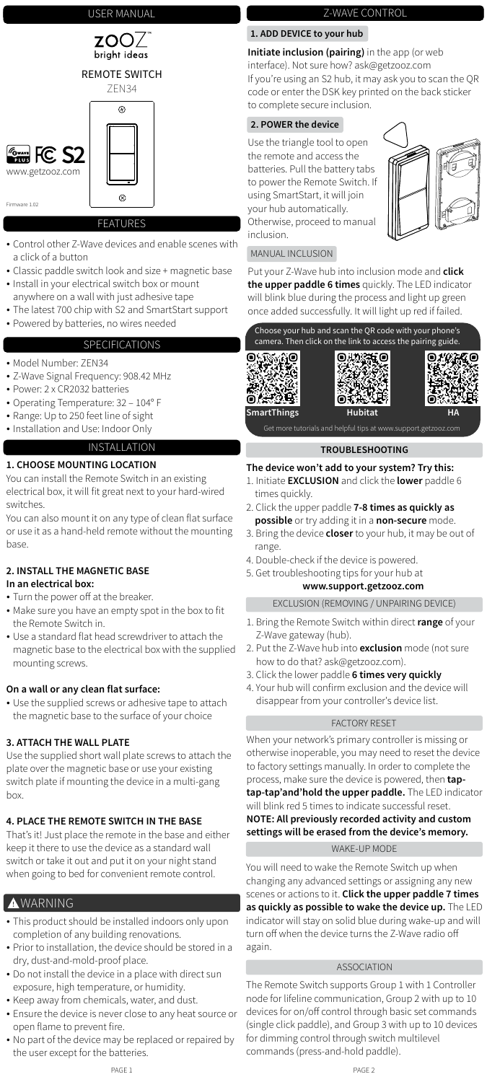

## USER MANUAL

#### FEATURES

- Control other Z-Wave devices and enable scenes with a click of a button
- Classic paddle switch look and size + magnetic base
- Install in your electrical switch box or mount anywhere on a wall with just adhesive tape
- The latest 700 chip with S2 and SmartStart support
- Powered by batteries, no wires needed

- Turn the power off at the breaker.
- Make sure you have an empty spot in the box to fit the Remote Switch in.
- Use a standard flat head screwdriver to attach the magnetic base to the electrical box with the supplied mounting screws.

### SPECIFICATIONS

- Model Number: ZEN34
- Z-Wave Signal Frequency: 908.42 MHz
- Power: 2 x CR2032 batteries
- Operating Temperature: 32 104° F
- Range: Up to 250 feet line of sight
- Installation and Use: Indoor Only

## INSTALLATION

### **1. CHOOSE MOUNTING LOCATION**

• Use the supplied screws or adhesive tape to attach the magnetic base to the surface of your choice

You can install the Remote Switch in an existing electrical box, it will fit great next to your hard-wired switches.

You can also mount it on any type of clean flat surface or use it as a hand-held remote without the mounting base.



#### **2. INSTALL THE MAGNETIC BASE In an electrical box:**

### **On a wall or any clean flat surface:**

# **3. ATTACH THE WALL PLATE**

Use the supplied short wall plate screws to attach the plate over the magnetic base or use your existing switch plate if mounting the device in a multi-gang box.

## **4. PLACE THE REMOTE SWITCH IN THE BASE**

That's it! Just place the remote in the base and either keep it there to use the device as a standard wall switch or take it out and put it on your night stand when going to bed for convenient remote control.

## Z-WAVE CONTROL

### MANUAL INCLUSION

## **1. ADD DEVICE to your hub**

**Initiate inclusion (pairing)** in the app (or web interface). Not sure how? ask@getzooz.com If you're using an S2 hub, it may ask you to scan the QR code or enter the DSK key printed on the back sticker to complete secure inclusion.

- 1. Bring the Remote Switch within direct **range** of your Z-Wave gateway (hub).
- 2. Put the Z-Wave hub into **exclusion** mode (not sure how to do that? ask@getzooz.com).
- 3. Click the lower paddle **6 times very quickly**
- 4. Your hub will confirm exclusion and the device will disappear from your controller's device list.

EXCLUSION (REMOVING / UNPAIRING DEVICE)

## FACTORY RESET

### **TROUBLESHOOTING**

### **The device won't add to your system? Try this:**

- This product should be installed indoors only upon completion of any building renovations.
- Prior to installation, the device should be stored in a dry, dust-and-mold-proof place.
- Do not install the device in a place with direct sun exposure, high temperature, or humidity.
- Keep away from chemicals, water, and dust.
- Ensure the device is never close to any heat source or open flame to prevent fire.
- No part of the device may be replaced or repaired by the user except for the batteries.
- 1. Initiate **EXCLUSION** and click the **lower** paddle 6 times quickly.
- 2. Click the upper paddle **7-8 times as quickly as possible** or try adding it in a **non-secure** mode.
- 3. Bring the device **closer** to your hub, it may be out of range.
- 4. Double-check if the device is powered.
- 5. Get troubleshooting tips for your hub at

## **www.support.getzooz.com**

When your network's primary controller is missing or otherwise inoperable, you may need to reset the device to factory settings manually. In order to complete the process, make sure the device is powered, then **taptap-tap'and'hold the upper paddle.** The LED indicator will blink red 5 times to indicate successful reset.

### **NOTE: All previously recorded activity and custom settings will be erased from the device's memory.**

## **2. POWER the device**

Use the triangle tool to open the remote and access the batteries. Pull the battery tabs to power the Remote Switch. If using SmartStart, it will join your hub automatically. Otherwise, proceed to manual inclusion.



Put your Z-Wave hub into inclusion mode and **click the upper paddle 6 times** quickly. The LED indicator will blink blue during the process and light up green once added successfully. It will light up red if failed.

## WAKE-UP MODE

## **AWARNING**

You will need to wake the Remote Switch up when changing any advanced settings or assigning any new scenes or actions to it. **Click the upper paddle 7 times as quickly as possible to wake the device up.** The LED indicator will stay on solid blue during wake-up and will turn off when the device turns the Z-Wave radio off again.

The Remote Switch supports Group 1 with 1 Controller node for lifeline communication, Group 2 with up to 10 devices for on/off control through basic set commands (single click paddle), and Group 3 with up to 10 devices for dimming control through switch multilevel commands (press-and-hold paddle).

#### ASSOCIATION

Firmware 1.02

 $^{\circledR}$